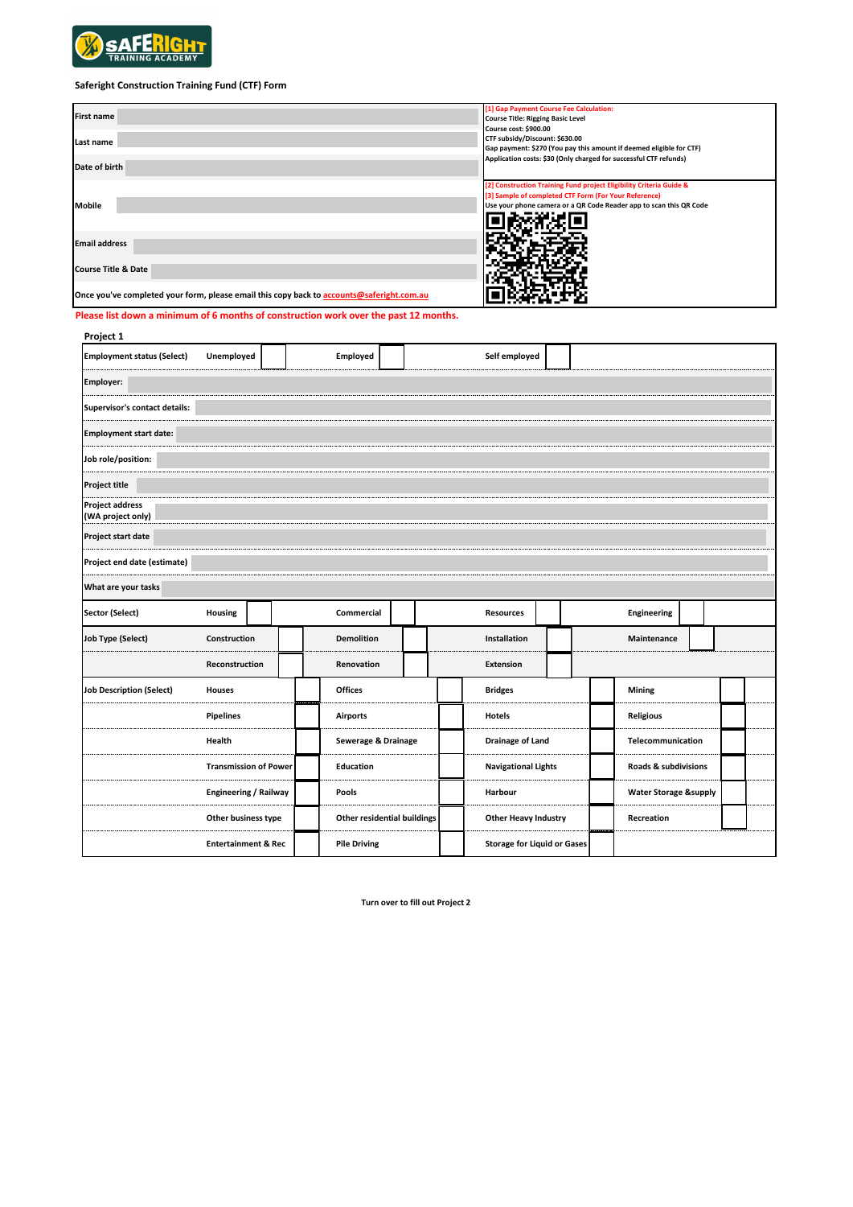

## **Saferight Construction Training Fund (CTF) Form**

| <b>First name</b><br>Last name<br>Date of birth                                           | [1] Gap Payment Course Fee Calculation:<br><b>Course Title: Rigging Basic Level</b><br>Course cost: \$900.00<br>CTF subsidy/Discount: \$630.00<br>Gap payment: \$270 (You pay this amount if deemed eligible for CTF)<br>Application costs: \$30 (Only charged for successful CTF refunds) |
|-------------------------------------------------------------------------------------------|--------------------------------------------------------------------------------------------------------------------------------------------------------------------------------------------------------------------------------------------------------------------------------------------|
| <b>Mobile</b>                                                                             | [2] Construction Training Fund project Eligibility Criteria Guide &<br>[3] Sample of completed CTF Form (For Your Reference)<br>Use your phone camera or a QR Code Reader app to scan this QR Code                                                                                         |
| <b>Email address</b>                                                                      |                                                                                                                                                                                                                                                                                            |
| <b>Course Title &amp; Date</b>                                                            |                                                                                                                                                                                                                                                                                            |
| Once you've completed your form, please email this copy back to accounts@saferight.com.au |                                                                                                                                                                                                                                                                                            |

**Please list down a minimum of 6 months of construction work over the past 12 months.**

| Project 1                                   |                                |            |                                    |                     |  |  |                                    |  |  |                                  |  |  |  |
|---------------------------------------------|--------------------------------|------------|------------------------------------|---------------------|--|--|------------------------------------|--|--|----------------------------------|--|--|--|
| <b>Employment status (Select)</b>           | Unemployed                     |            | Employed                           |                     |  |  | Self employed                      |  |  |                                  |  |  |  |
| <b>Employer:</b>                            |                                |            |                                    |                     |  |  |                                    |  |  |                                  |  |  |  |
| Supervisor's contact details:               |                                |            |                                    |                     |  |  |                                    |  |  |                                  |  |  |  |
| <b>Employment start date:</b>               |                                |            |                                    |                     |  |  |                                    |  |  |                                  |  |  |  |
| Job role/position:                          |                                |            |                                    |                     |  |  |                                    |  |  |                                  |  |  |  |
| <b>Project title</b>                        |                                |            |                                    |                     |  |  |                                    |  |  |                                  |  |  |  |
| <b>Project address</b><br>(WA project only) |                                |            |                                    |                     |  |  |                                    |  |  |                                  |  |  |  |
| Project start date                          |                                |            |                                    |                     |  |  |                                    |  |  |                                  |  |  |  |
| Project end date (estimate)                 |                                |            |                                    |                     |  |  |                                    |  |  |                                  |  |  |  |
| What are your tasks                         |                                |            |                                    |                     |  |  |                                    |  |  |                                  |  |  |  |
| <b>Sector (Select)</b>                      | Housing                        | Commercial |                                    |                     |  |  | <b>Resources</b>                   |  |  | Engineering                      |  |  |  |
| <b>Job Type (Select)</b>                    | Construction                   |            | <b>Demolition</b>                  |                     |  |  | Installation                       |  |  | Maintenance                      |  |  |  |
|                                             | Reconstruction                 |            | Renovation                         |                     |  |  | <b>Extension</b>                   |  |  |                                  |  |  |  |
| <b>Job Description (Select)</b>             | <b>Houses</b>                  |            | <b>Offices</b>                     |                     |  |  | <b>Bridges</b>                     |  |  | <b>Mining</b>                    |  |  |  |
|                                             | <b>Pipelines</b>               |            | <b>Airports</b>                    |                     |  |  | <b>Hotels</b>                      |  |  | <b>Religious</b>                 |  |  |  |
|                                             | Health                         |            |                                    | Sewerage & Drainage |  |  | <b>Drainage of Land</b>            |  |  | Telecommunication                |  |  |  |
|                                             | <b>Transmission of Power</b>   |            | <b>Education</b>                   |                     |  |  | <b>Navigational Lights</b>         |  |  | Roads & subdivisions             |  |  |  |
|                                             | <b>Engineering / Railway</b>   |            | Pools                              |                     |  |  | Harbour                            |  |  | <b>Water Storage &amp;supply</b> |  |  |  |
|                                             | Other business type            |            | <b>Other residential buildings</b> |                     |  |  | <b>Other Heavy Industry</b>        |  |  | Recreation                       |  |  |  |
|                                             | <b>Entertainment &amp; Rec</b> |            | <b>Pile Driving</b>                |                     |  |  | <b>Storage for Liquid or Gases</b> |  |  |                                  |  |  |  |

**Turn over to fill out Project 2**